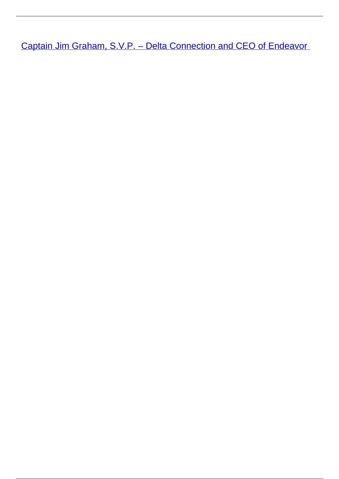Captain Jim Graham, S.V.P. - Delta Connection and CEO of Endeavor